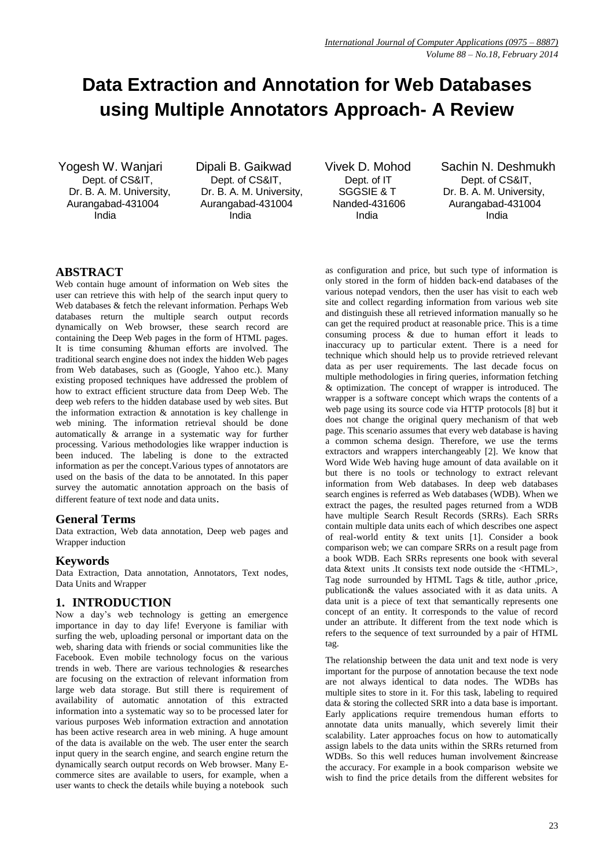# **Data Extraction and Annotation for Web Databases using Multiple Annotators Approach- A Review**

Yogesh W. Wanjari Dipali B. Gaikwad Vivek D. Mohod Sachin N. Deshmukh India India India India

Dept. of CS&IT, Dept. of CS&IT, Dept. of IT Dept. of CS&IT, Dr. B. A. M. University, Dr. B. A. M. University, SGGSIE & T Dr. B. A. M. University, Aurangabad-431004 Aurangabad-431004 Nanded-431606 Aurangabad-431004

# **ABSTRACT**

Web contain huge amount of information on Web sites the user can retrieve this with help of the search input query to Web databases & fetch the relevant information. Perhaps Web databases return the multiple search output records dynamically on Web browser, these search record are containing the Deep Web pages in the form of HTML pages. It is time consuming &human efforts are involved. The traditional search engine does not index the hidden Web pages from Web databases, such as (Google, Yahoo etc.). Many existing proposed techniques have addressed the problem of how to extract efficient structure data from Deep Web. The deep web refers to the hidden database used by web sites. But the information extraction & annotation is key challenge in web mining. The information retrieval should be done automatically & arrange in a systematic way for further processing. Various methodologies like wrapper induction is been induced. The labeling is done to the extracted information as per the concept.Various types of annotators are used on the basis of the data to be annotated. In this paper survey the automatic annotation approach on the basis of different feature of text node and data units.

# **General Terms**

Data extraction, Web data annotation, Deep web pages and Wrapper induction

# **Keywords**

Data Extraction, Data annotation, Annotators, Text nodes, Data Units and Wrapper

# **1. INTRODUCTION**

Now a day's web technology is getting an emergence importance in day to day life! Everyone is familiar with surfing the web, uploading personal or important data on the web, sharing data with friends or social communities like the Facebook. Even mobile technology focus on the various trends in web. There are various technologies & researches are focusing on the extraction of relevant information from large web data storage. But still there is requirement of availability of automatic annotation of this extracted information into a systematic way so to be processed later for various purposes Web information extraction and annotation has been active research area in web mining. A huge amount of the data is available on the web. The user enter the search input query in the search engine, and search engine return the dynamically search output records on Web browser. Many Ecommerce sites are available to users, for example, when a user wants to check the details while buying a notebook such

as configuration and price, but such type of information is only stored in the form of hidden back-end databases of the various notepad vendors, then the user has visit to each web site and collect regarding information from various web site and distinguish these all retrieved information manually so he can get the required product at reasonable price. This is a time consuming process & due to human effort it leads to inaccuracy up to particular extent. There is a need for technique which should help us to provide retrieved relevant data as per user requirements. The last decade focus on multiple methodologies in firing queries, information fetching & optimization. The concept of wrapper is introduced. The wrapper is a software concept which wraps the contents of a web page using its source code via HTTP protocols [8] but it does not change the original query mechanism of that web page. This scenario assumes that every web database is having a common schema design. Therefore, we use the terms extractors and wrappers interchangeably [2]. We know that Word Wide Web having huge amount of data available on it but there is no tools or technology to extract relevant information from Web databases. In deep web databases search engines is referred as Web databases (WDB). When we extract the pages, the resulted pages returned from a WDB have multiple Search Result Records (SRRs). Each SRRs contain multiple data units each of which describes one aspect of real-world entity & text units [1]. Consider a book comparison web; we can compare SRRs on a result page from a book WDB. Each SRRs represents one book with several data &text units .It consists text node outside the <HTML>, Tag node surrounded by HTML Tags & title, author ,price, publication& the values associated with it as data units. A data unit is a piece of text that semantically represents one concept of an entity. It corresponds to the value of record under an attribute. It different from the text node which is refers to the sequence of text surrounded by a pair of HTML tag.

The relationship between the data unit and text node is very important for the purpose of annotation because the text node are not always identical to data nodes. The WDBs has multiple sites to store in it. For this task, labeling to required data & storing the collected SRR into a data base is important. Early applications require tremendous human efforts to annotate data units manually, which severely limit their scalability. Later approaches focus on how to automatically assign labels to the data units within the SRRs returned from WDBs. So this well reduces human involvement &increase the accuracy. For example in a book comparison website we wish to find the price details from the different websites for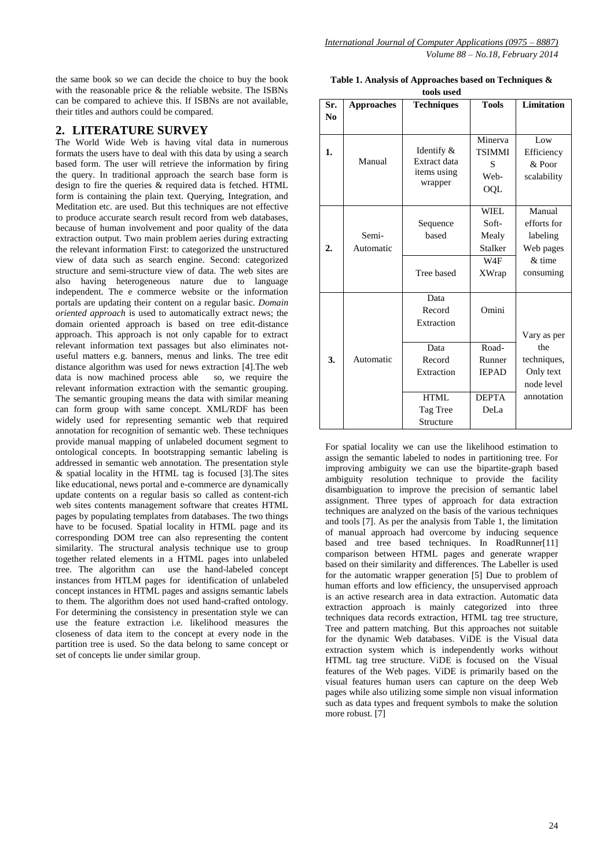the same book so we can decide the choice to buy the book with the reasonable price & the reliable website. The ISBNs can be compared to achieve this. If ISBNs are not available, their titles and authors could be compared.

# **2. LITERATURE SURVEY**

The World Wide Web is having vital data in numerous formats the users have to deal with this data by using a search based form. The user will retrieve the information by firing the query. In traditional approach the search base form is design to fire the queries  $\&$  required data is fetched. HTML form is containing the plain text. Querying, Integration, and Meditation etc. are used. But this techniques are not effective to produce accurate search result record from web databases, because of human involvement and poor quality of the data extraction output. Two main problem aeries during extracting the relevant information First: to categorized the unstructured view of data such as search engine. Second: categorized structure and semi-structure view of data. The web sites are also having heterogeneous nature due to language independent. The e commerce website or the information portals are updating their content on a regular basic. *Domain oriented approach* is used to automatically extract news; the domain oriented approach is based on tree edit-distance approach. This approach is not only capable for to extract relevant information text passages but also eliminates notuseful matters e.g. banners, menus and links. The tree edit distance algorithm was used for news extraction [4]. The web data is now machined process able so, we require the data is now machined process able relevant information extraction with the semantic grouping. The semantic grouping means the data with similar meaning can form group with same concept. XML/RDF has been widely used for representing semantic web that required annotation for recognition of semantic web. These techniques provide manual mapping of unlabeled document segment to ontological concepts. In bootstrapping semantic labeling is addressed in semantic web annotation. The presentation style & spatial locality in the HTML tag is focused [3].The sites like educational, news portal and e-commerce are dynamically update contents on a regular basis so called as content-rich web sites contents management software that creates HTML pages by populating templates from databases. The two things have to be focused. Spatial locality in HTML page and its corresponding DOM tree can also representing the content similarity. The structural analysis technique use to group together related elements in a HTML pages into unlabeled tree. The algorithm can use the hand-labeled concept instances from HTLM pages for identification of unlabeled concept instances in HTML pages and assigns semantic labels to them. The algorithm does not used hand-crafted ontology. For determining the consistency in presentation style we can use the feature extraction i.e. likelihood measures the closeness of data item to the concept at every node in the partition tree is used. So the data belong to same concept or set of concepts lie under similar group.

**Table 1. Analysis of Approaches based on Techniques & tools used**

| Sr.              | <b>Approaches</b>  | <b>Techniques</b>                                                                                    | <b>Tools</b>                                                     | <b>Limitation</b>                                                          |
|------------------|--------------------|------------------------------------------------------------------------------------------------------|------------------------------------------------------------------|----------------------------------------------------------------------------|
| N <sub>0</sub>   |                    |                                                                                                      |                                                                  |                                                                            |
| 1.               | Manual             | Identify &<br>Extract data<br>items using<br>wrapper                                                 | Minerva<br><b>TSIMMI</b><br>S<br>Web-<br>OQL                     | Low<br>Efficiency<br>& Poor<br>scalability                                 |
| $\overline{2}$ . | Semi-<br>Automatic | Sequence<br>based<br>Tree based                                                                      | <b>WIEL</b><br>Soft-<br>Mealy<br><b>Stalker</b><br>W4F<br>XWrap  | Manual<br>efforts for<br>labeling<br>Web pages<br>$&$ time<br>consuming    |
| 3.               | Automatic          | Data<br>Record<br>Extraction<br>Data<br>Record<br>Extraction<br><b>HTML</b><br>Tag Tree<br>Structure | Omini<br>Road-<br>Runner<br><b>IEPAD</b><br><b>DEPTA</b><br>DeLa | Vary as per<br>the<br>techniques,<br>Only text<br>node level<br>annotation |

For spatial locality we can use the likelihood estimation to assign the semantic labeled to nodes in partitioning tree. For improving ambiguity we can use the bipartite-graph based ambiguity resolution technique to provide the facility disambiguation to improve the precision of semantic label assignment. Three types of approach for data extraction techniques are analyzed on the basis of the various techniques and tools [7]. As per the analysis from Table 1, the limitation of manual approach had overcome by inducing sequence based and tree based techniques. In RoadRunner[11] comparison between HTML pages and generate wrapper based on their similarity and differences. The Labeller is used for the automatic wrapper generation [5] Due to problem of human efforts and low efficiency, the unsupervised approach is an active research area in data extraction. Automatic data extraction approach is mainly categorized into three techniques data records extraction, HTML tag tree structure, Tree and pattern matching. But this approaches not suitable for the dynamic Web databases. ViDE is the Visual data extraction system which is independently works without HTML tag tree structure. ViDE is focused on the Visual features of the Web pages. ViDE is primarily based on the visual features human users can capture on the deep Web pages while also utilizing some simple non visual information such as data types and frequent symbols to make the solution more robust. [7]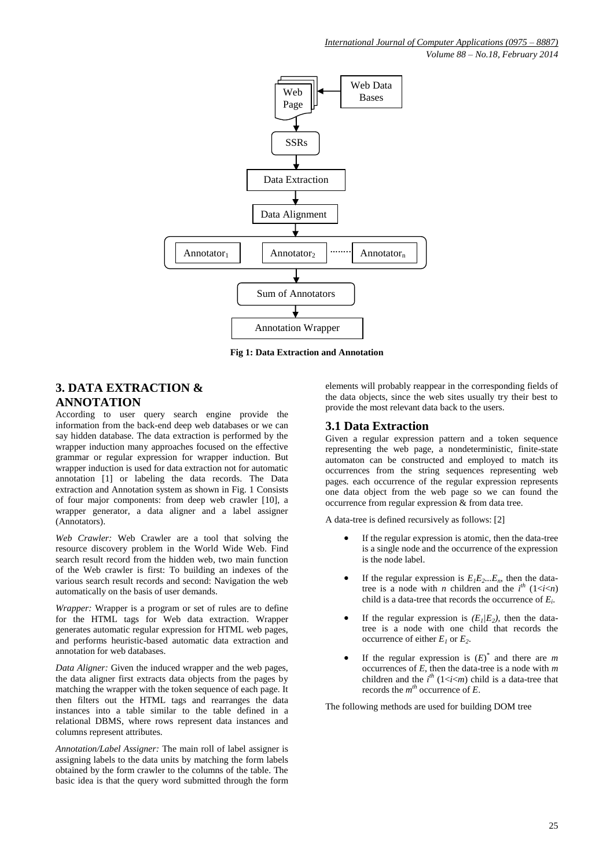*Volume 88 – No.18, February 2014*



**Fig 1: Data Extraction and Annotation**

# **3. DATA EXTRACTION & ANNOTATION**

According to user query search engine provide the information from the back-end deep web databases or we can say hidden database. The data extraction is performed by the wrapper induction many approaches focused on the effective grammar or regular expression for wrapper induction. But wrapper induction is used for data extraction not for automatic annotation [1] or labeling the data records. The Data extraction and Annotation system as shown in Fig. 1 Consists of four major components: from deep web crawler [10], a wrapper generator, a data aligner and a label assigner (Annotators).

*Web Crawler:* Web Crawler are a tool that solving the resource discovery problem in the World Wide Web. Find search result record from the hidden web, two main function of the Web crawler is first: To building an indexes of the various search result records and second: Navigation the web automatically on the basis of user demands.

*Wrapper:* Wrapper is a program or set of rules are to define for the HTML tags for Web data extraction. Wrapper generates automatic regular expression for HTML web pages, and performs heuristic-based automatic data extraction and annotation for web databases.

*Data Aligner:* Given the induced wrapper and the web pages, the data aligner first extracts data objects from the pages by matching the wrapper with the token sequence of each page. It then filters out the HTML tags and rearranges the data instances into a table similar to the table defined in a relational DBMS, where rows represent data instances and columns represent attributes.

*Annotation/Label Assigner:* The main roll of label assigner is assigning labels to the data units by matching the form labels obtained by the form crawler to the columns of the table. The basic idea is that the query word submitted through the form

elements will probably reappear in the corresponding fields of the data objects, since the web sites usually try their best to provide the most relevant data back to the users.

# **3.1 Data Extraction**

Given a regular expression pattern and a token sequence representing the web page, a nondeterministic, finite-state automaton can be constructed and employed to match its occurrences from the string sequences representing web pages. each occurrence of the regular expression represents one data object from the web page so we can found the occurrence from regular expression & from data tree.

A data-tree is defined recursively as follows: [2]

- If the regular expression is atomic, then the data-tree is a single node and the occurrence of the expression is the node label.
- If the regular expression is  $E_1E_2...E_n$ , then the datatree is a node with *n* children and the  $i^{th}$  (1 < *i* < *i* + *i* + *i* + *i* + *i* + *i* + *i* + *i* + *i* + *i* + *i* + *i* + *i* + *i* + *i* + *i* + *i* + *i* + *i* + *i* + *i* + *i* + *i* + *i* + *i* + *i* + *i* + child is a data-tree that records the occurrence of *E<sup>i</sup>* .
- If the regular expression is  $(E_1/E_2)$ , then the datatree is a node with one child that records the occurrence of either  $E_I$  or  $E_2$ .
- If the regular expression is  $(E)^*$  and there are *m* occurrences of *E*, then the data-tree is a node with *m* children and the  $i^{th}$  (1  $\lt i \lt m$ ) child is a data-tree that records the *m th* occurrence of *E*.

The following methods are used for building DOM tree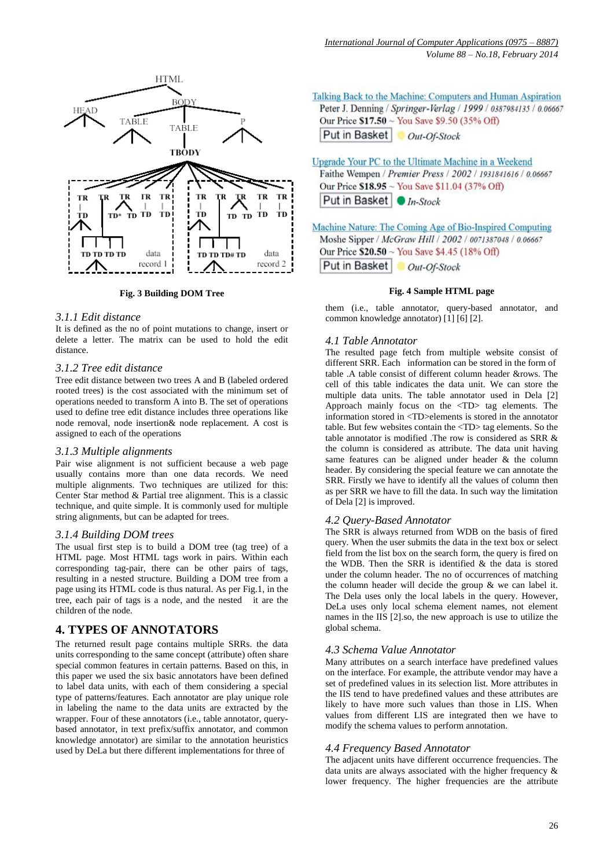

**Fig. 3 Building DOM Tree**

# *3.1.1 Edit distance*

It is defined as the no of point mutations to change, insert or delete a letter. The matrix can be used to hold the edit distance.

# *3.1.2 Tree edit distance*

Tree edit distance between two trees A and B (labeled ordered rooted trees) is the cost associated with the minimum set of operations needed to transform A into B. The set of operations used to define tree edit distance includes three operations like node removal, node insertion& node replacement. A cost is assigned to each of the operations

### *3.1.3 Multiple alignments*

Pair wise alignment is not sufficient because a web page usually contains more than one data records. We need multiple alignments. Two techniques are utilized for this: Center Star method & Partial tree alignment. This is a classic technique, and quite simple. It is commonly used for multiple string alignments, but can be adapted for trees.

### *3.1.4 Building DOM trees*

The usual first step is to build a DOM tree (tag tree) of a HTML page. Most HTML tags work in pairs. Within each corresponding tag-pair, there can be other pairs of tags, resulting in a nested structure. Building a DOM tree from a page using its HTML code is thus natural. As per Fig.1, in the tree, each pair of tags is a node, and the nested it are the children of the node.

# **4. TYPES OF ANNOTATORS**

The returned result page contains multiple SRRs. the data units corresponding to the same concept (attribute) often share special common features in certain patterns. Based on this, in this paper we used the six basic annotators have been defined to label data units, with each of them considering a special type of patterns/features. Each annotator are play unique role in labeling the name to the data units are extracted by the wrapper. Four of these annotators (i.e., table annotator, querybased annotator, in text prefix/suffix annotator, and common knowledge annotator) are similar to the annotation heuristics used by DeLa but there different implementations for three of

Talking Back to the Machine: Computers and Human Aspiration Peter J. Denning / Springer-Verlag / 1999 / 0387984135 / 0.06667 Our Price \$17.50 ~ You Save \$9.50 (35% Off) Put in Basket Out-Of-Stock

Upgrade Your PC to the Ultimate Machine in a Weekend Faithe Wempen / Premier Press / 2002 / 1931841616 / 0.06667 Our Price \$18.95 ~ You Save \$11.04 (37% Off) Put in Basket ● In-Stock

Machine Nature: The Coming Age of Bio-Inspired Computing Moshe Sipper / McGraw Hill / 2002 / 0071387048 / 0.06667 Our Price \$20.50 ~ You Save \$4.45 (18% Off) Put in Basket Out-Of-Stock

# **Fig. 4 Sample HTML page**

them (i.e., table annotator, query-based annotator, and common knowledge annotator) [1] [6] [2].

# *4.1 Table Annotator*

The resulted page fetch from multiple website consist of different SRR. Each information can be stored in the form of table .A table consist of different column header &rows. The cell of this table indicates the data unit. We can store the multiple data units. The table annotator used in Dela [2] Approach mainly focus on the <TD> tag elements. The information stored in <TD>elements is stored in the annotator table. But few websites contain the <TD> tag elements. So the table annotator is modified .The row is considered as SRR & the column is considered as attribute. The data unit having same features can be aligned under header & the column header. By considering the special feature we can annotate the SRR. Firstly we have to identify all the values of column then as per SRR we have to fill the data. In such way the limitation of Dela [2] is improved.

# *4.2 Query-Based Annotator*

The SRR is always returned from WDB on the basis of fired query. When the user submits the data in the text box or select field from the list box on the search form, the query is fired on the WDB. Then the SRR is identified & the data is stored under the column header. The no of occurrences of matching the column header will decide the group & we can label it. The Dela uses only the local labels in the query. However, DeLa uses only local schema element names, not element names in the IIS [2].so, the new approach is use to utilize the global schema.

### *4.3 Schema Value Annotator*

Many attributes on a search interface have predefined values on the interface. For example, the attribute vendor may have a set of predefined values in its selection list. More attributes in the IIS tend to have predefined values and these attributes are likely to have more such values than those in LIS. When values from different LIS are integrated then we have to modify the schema values to perform annotation.

### *4.4 Frequency Based Annotator*

The adjacent units have different occurrence frequencies. The data units are always associated with the higher frequency & lower frequency. The higher frequencies are the attribute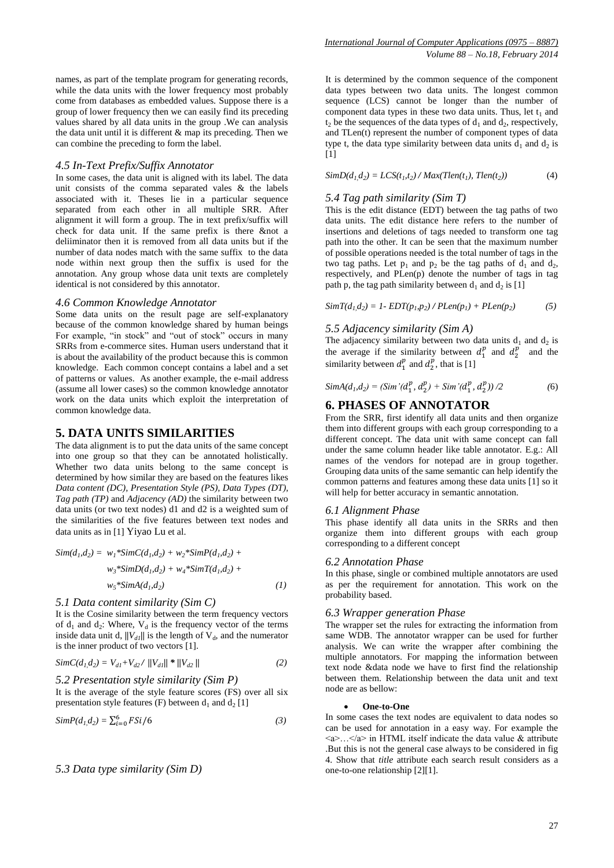names, as part of the template program for generating records, while the data units with the lower frequency most probably come from databases as embedded values. Suppose there is a group of lower frequency then we can easily find its preceding values shared by all data units in the group .We can analysis the data unit until it is different & map its preceding. Then we can combine the preceding to form the label.

### *4.5 In-Text Prefix/Suffix Annotator*

In some cases, the data unit is aligned with its label. The data unit consists of the comma separated vales & the labels associated with it. Theses lie in a particular sequence separated from each other in all multiple SRR. After alignment it will form a group. The in text prefix/suffix will check for data unit. If the same prefix is there  $&$  and  $a$ deliiminator then it is removed from all data units but if the number of data nodes match with the same suffix to the data node within next group then the suffix is used for the annotation. Any group whose data unit texts are completely identical is not considered by this annotator.

#### *4.6 Common Knowledge Annotator*

Some data units on the result page are self-explanatory because of the common knowledge shared by human beings For example, "in stock" and "out of stock" occurs in many SRRs from e-commerce sites. Human users understand that it is about the availability of the product because this is common knowledge. Each common concept contains a label and a set of patterns or values. As another example, the e-mail address (assume all lower cases) so the common knowledge annotator work on the data units which exploit the interpretation of common knowledge data.

#### **5. DATA UNITS SIMILARITIES**

The data alignment is to put the data units of the same concept into one group so that they can be annotated holistically. Whether two data units belong to the same concept is determined by how similar they are based on the features likes *Data content (DC), Presentation Style (PS), Data Types (DT), Tag path (TP)* and *Adjacency (AD)* the similarity between two data units (or two text nodes) d1 and d2 is a weighted sum of the similarities of the five features between text nodes and data units as in [1] Yiyao Lu et al.

$$
Sim(d_1, d_2) = w_1 * SimC(d_1, d_2) + w_2 * SimP(d_1, d_2) + w_3 * SimD(d_1, d_2) + w_4 * SimT(d_1, d_2) + w_5 * SimA(d_1, d_2)
$$
\n(1)

#### *5.1 Data content similarity (Sim C)*

It is the Cosine similarity between the term frequency vectors of  $d_1$  and  $d_2$ : Where,  $V_d$  is the frequency vector of the terms inside data unit d,  $||V_{d1}||$  is the length of  $V_{d}$ , and the numerator is the inner product of two vectors [1].

$$
SimC(d_1, d_2) = V_{d1} + V_{d2} / ||V_{d1}||^* ||V_{d2}|| \qquad (2)
$$

#### *5.2 Presentation style similarity (Sim P)*

It is the average of the style feature scores (FS) over all six presentation style features (F) between  $d_1$  and  $d_2$  [1]

$$
SimP(d1, d2) = \sum_{i=0}^{6} FSi/6
$$
 (3)

#### *5.3 Data type similarity (Sim D)*

It is determined by the common sequence of the component data types between two data units. The longest common sequence (LCS) cannot be longer than the number of component data types in these two data units. Thus, let  $t_1$  and  $t_2$  be the sequences of the data types of  $d_1$  and  $d_2$ , respectively, and TLen(t) represent the number of component types of data type t, the data type similarity between data units  $d_1$  and  $d_2$  is [1]

 $SimD(d_1, d_2) = LCS(t_1, t_2) / Max(Then(t_1), Then(t_2)$ *))* (4)

#### *5.4 Tag path similarity (Sim T)*

This is the edit distance (EDT) between the tag paths of two data units. The edit distance here refers to the number of insertions and deletions of tags needed to transform one tag path into the other. It can be seen that the maximum number of possible operations needed is the total number of tags in the two tag paths. Let  $p_1$  and  $p_2$  be the tag paths of  $d_1$  and  $d_2$ , respectively, and PLen(p) denote the number of tags in tag path p, the tag path similarity between  $d_1$  and  $d_2$  is [1]

 $SimT(d_1, d_2) = 1 - EDT(p_1, p_2) / PLen(p_1) + PLen(p_2)$ *) (5)*

#### *5.5 Adjacency similarity (Sim A)*

The adjacency similarity between two data units  $d_1$  and  $d_2$  is the average if the similarity between  $d_1^p$  and  $d_2^p$  and the similarity between  $d_1^p$  and  $d_2^p$ , that is [1]

$$
SimA(d_1, d_2) = (Sim'(d_1^p, d_2^p) + Sim'(d_1^p, d_2^p))/2
$$
\n(6)

### **6. PHASES OF ANNOTATOR**

From the SRR, first identify all data units and then organize them into different groups with each group corresponding to a different concept. The data unit with same concept can fall under the same column header like table annotator. E.g.: All names of the vendors for notepad are in group together. Grouping data units of the same semantic can help identify the common patterns and features among these data units [1] so it will help for better accuracy in semantic annotation.

#### *6.1 Alignment Phase*

This phase identify all data units in the SRRs and then organize them into different groups with each group corresponding to a different concept

#### *6.2 Annotation Phase*

In this phase, single or combined multiple annotators are used as per the requirement for annotation. This work on the probability based.

#### *6.3 Wrapper generation Phase*

The wrapper set the rules for extracting the information from same WDB. The annotator wrapper can be used for further analysis. We can write the wrapper after combining the multiple annotators. For mapping the information between text node &data node we have to first find the relationship between them. Relationship between the data unit and text node are as bellow:

#### **One-to-One**

In some cases the text nodes are equivalent to data nodes so can be used for annotation in a easy way. For example the  $\langle a \rangle$ ... $\langle a \rangle$  in HTML itself indicate the data value & attribute .But this is not the general case always to be considered in fig 4. Show that *title* attribute each search result considers as a one-to-one relationship [2][1].